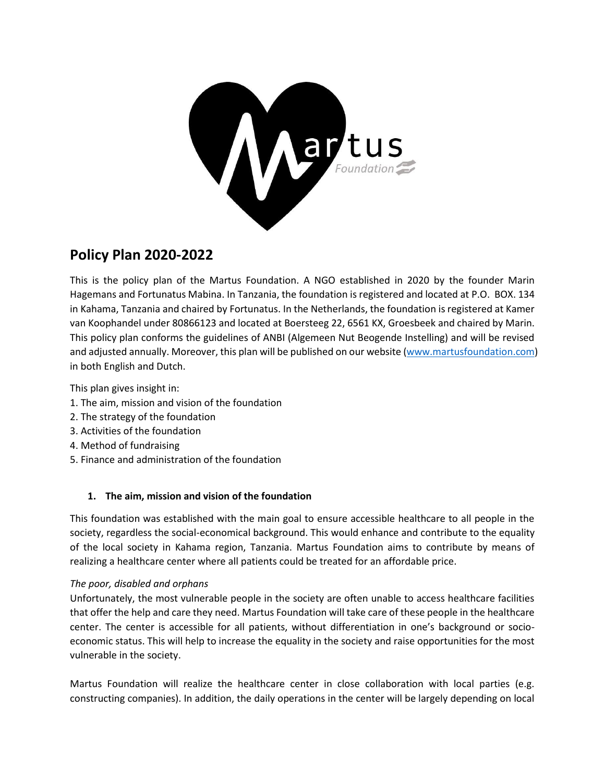

# **Policy Plan 2020-2022**

This is the policy plan of the Martus Foundation. A NGO established in 2020 by the founder Marin Hagemans and Fortunatus Mabina. In Tanzania, the foundation is registered and located at P.O. BOX. 134 in Kahama, Tanzania and chaired by Fortunatus. In the Netherlands, the foundation is registered at Kamer van Koophandel under 80866123 and located at Boersteeg 22, 6561 KX, Groesbeek and chaired by Marin. This policy plan conforms the guidelines of ANBI (Algemeen Nut Beogende Instelling) and will be revised and adjusted annually. Moreover, this plan will be published on our website [\(www.martusfoundation.com\)](http://www.martusfoundation.com/) in both English and Dutch.

This plan gives insight in:

- 1. The aim, mission and vision of the foundation
- 2. The strategy of the foundation
- 3. Activities of the foundation
- 4. Method of fundraising
- 5. Finance and administration of the foundation

# **1. The aim, mission and vision of the foundation**

This foundation was established with the main goal to ensure accessible healthcare to all people in the society, regardless the social-economical background. This would enhance and contribute to the equality of the local society in Kahama region, Tanzania. Martus Foundation aims to contribute by means of realizing a healthcare center where all patients could be treated for an affordable price.

#### *The poor, disabled and orphans*

Unfortunately, the most vulnerable people in the society are often unable to access healthcare facilities that offer the help and care they need. Martus Foundation will take care of these people in the healthcare center. The center is accessible for all patients, without differentiation in one's background or socioeconomic status. This will help to increase the equality in the society and raise opportunities for the most vulnerable in the society.

Martus Foundation will realize the healthcare center in close collaboration with local parties (e.g. constructing companies). In addition, the daily operations in the center will be largely depending on local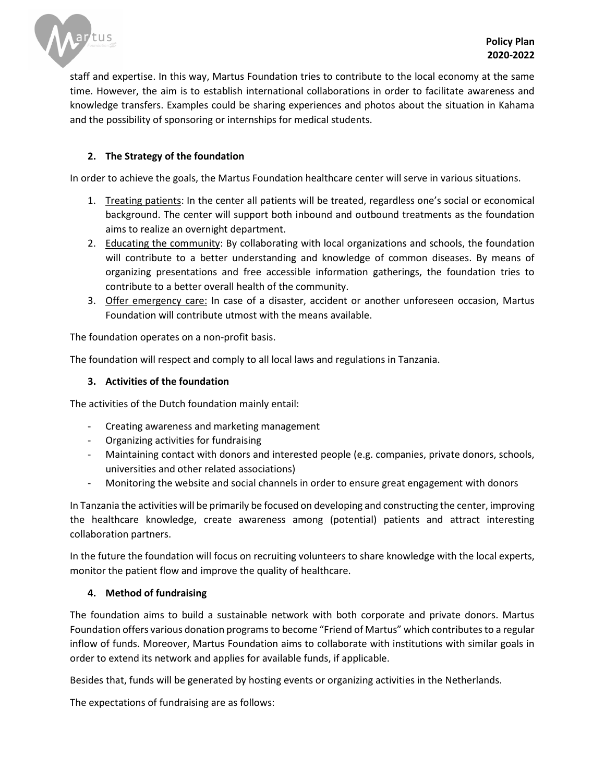

staff and expertise. In this way, Martus Foundation tries to contribute to the local economy at the same time. However, the aim is to establish international collaborations in order to facilitate awareness and knowledge transfers. Examples could be sharing experiences and photos about the situation in Kahama and the possibility of sponsoring or internships for medical students.

## **2. The Strategy of the foundation**

In order to achieve the goals, the Martus Foundation healthcare center will serve in various situations.

- 1. Treating patients: In the center all patients will be treated, regardless one's social or economical background. The center will support both inbound and outbound treatments as the foundation aims to realize an overnight department.
- 2. Educating the community: By collaborating with local organizations and schools, the foundation will contribute to a better understanding and knowledge of common diseases. By means of organizing presentations and free accessible information gatherings, the foundation tries to contribute to a better overall health of the community.
- 3. Offer emergency care: In case of a disaster, accident or another unforeseen occasion, Martus Foundation will contribute utmost with the means available.

The foundation operates on a non-profit basis.

The foundation will respect and comply to all local laws and regulations in Tanzania.

#### **3. Activities of the foundation**

The activities of the Dutch foundation mainly entail:

- Creating awareness and marketing management
- Organizing activities for fundraising
- Maintaining contact with donors and interested people (e.g. companies, private donors, schools, universities and other related associations)
- Monitoring the website and social channels in order to ensure great engagement with donors

In Tanzania the activities will be primarily be focused on developing and constructing the center, improving the healthcare knowledge, create awareness among (potential) patients and attract interesting collaboration partners.

In the future the foundation will focus on recruiting volunteers to share knowledge with the local experts, monitor the patient flow and improve the quality of healthcare.

#### **4. Method of fundraising**

The foundation aims to build a sustainable network with both corporate and private donors. Martus Foundation offers various donation programs to become "Friend of Martus" which contributes to a regular inflow of funds. Moreover, Martus Foundation aims to collaborate with institutions with similar goals in order to extend its network and applies for available funds, if applicable.

Besides that, funds will be generated by hosting events or organizing activities in the Netherlands.

The expectations of fundraising are as follows: